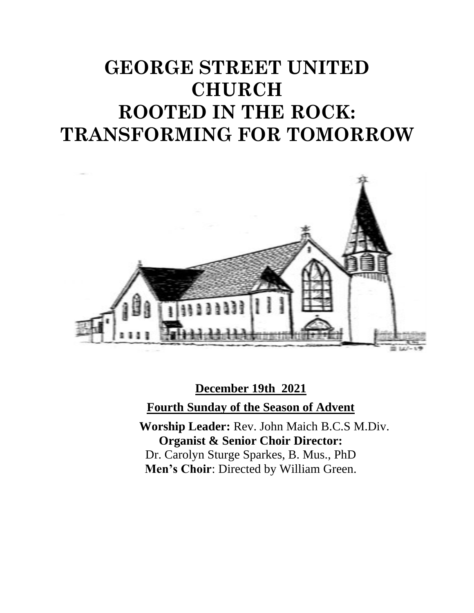# **GEORGE STREET UNITED CHURCH ROOTED IN THE ROCK: TRANSFORMING FOR TOMORROW**



**December 19th 2021 Fourth Sunday of the Season of Advent Worship Leader:** Rev. John Maich B.C.S M.Div. **Organist & Senior Choir Director:**  Dr. Carolyn Sturge Sparkes, B. Mus., PhD

**Men's Choir**: Directed by William Green.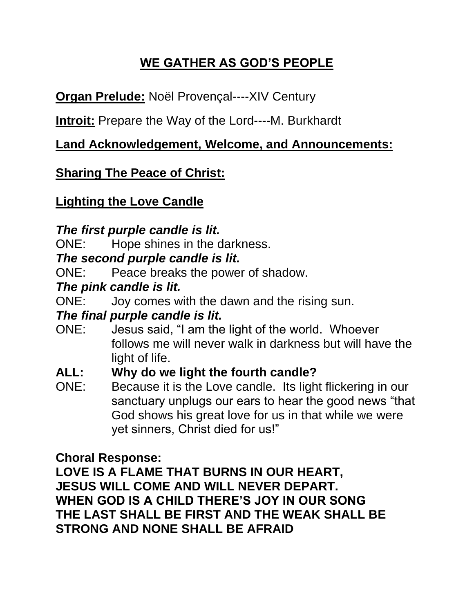# **WE GATHER AS GOD'S PEOPLE**

**Organ Prelude:** Noël Provençal----XIV Century

**Introit:** Prepare the Way of the Lord----M. Burkhardt

### **Land Acknowledgement, Welcome, and Announcements:**

### **Sharing The Peace of Christ:**

### **Lighting the Love Candle**

### *The first purple candle is lit.*

ONE: Hope shines in the darkness.

#### *The second purple candle is lit.*

ONE: Peace breaks the power of shadow.

### *The pink candle is lit.*

ONE: Joy comes with the dawn and the rising sun.

#### *The final purple candle is lit.*

ONE: Jesus said, "I am the light of the world. Whoever follows me will never walk in darkness but will have the light of life.

### **ALL: Why do we light the fourth candle?**

ONE: Because it is the Love candle. Its light flickering in our sanctuary unplugs our ears to hear the good news "that God shows his great love for us in that while we were yet sinners, Christ died for us!"

### **Choral Response:**

**LOVE IS A FLAME THAT BURNS IN OUR HEART, JESUS WILL COME AND WILL NEVER DEPART. WHEN GOD IS A CHILD THERE'S JOY IN OUR SONG THE LAST SHALL BE FIRST AND THE WEAK SHALL BE STRONG AND NONE SHALL BE AFRAID**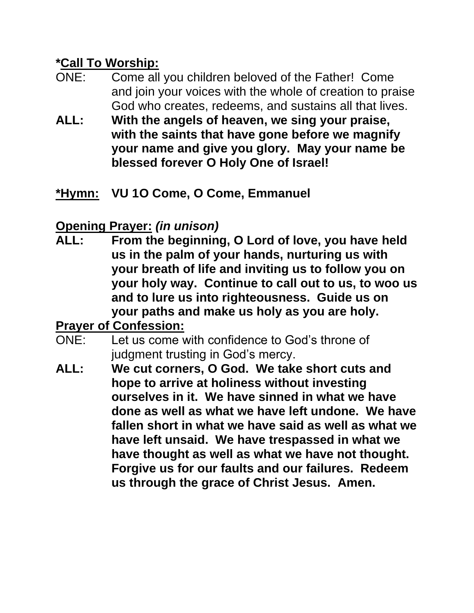### **\*Call To Worship:**

- ONE: Come all you children beloved of the Father! Come and join your voices with the whole of creation to praise God who creates, redeems, and sustains all that lives.
- **ALL: With the angels of heaven, we sing your praise, with the saints that have gone before we magnify your name and give you glory. May your name be blessed forever O Holy One of Israel!**
- **\*Hymn: VU 1O Come, O Come, Emmanuel**

# **Opening Prayer:** *(in unison)*

**ALL: From the beginning, O Lord of love, you have held us in the palm of your hands, nurturing us with your breath of life and inviting us to follow you on your holy way. Continue to call out to us, to woo us and to lure us into righteousness. Guide us on your paths and make us holy as you are holy.**

# **Prayer of Confession:**

- ONE: Let us come with confidence to God's throne of judgment trusting in God's mercy.
- **ALL: We cut corners, O God. We take short cuts and hope to arrive at holiness without investing ourselves in it. We have sinned in what we have done as well as what we have left undone. We have fallen short in what we have said as well as what we have left unsaid. We have trespassed in what we have thought as well as what we have not thought. Forgive us for our faults and our failures. Redeem us through the grace of Christ Jesus. Amen.**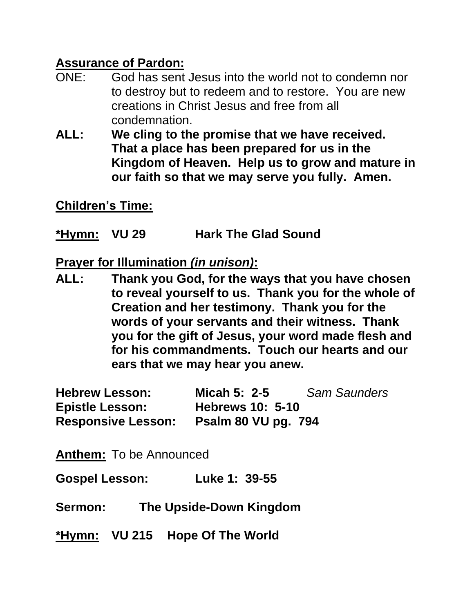### **Assurance of Pardon:**

- ONE: God has sent Jesus into the world not to condemn nor to destroy but to redeem and to restore. You are new creations in Christ Jesus and free from all condemnation.
- **ALL: We cling to the promise that we have received. That a place has been prepared for us in the Kingdom of Heaven. Help us to grow and mature in our faith so that we may serve you fully. Amen.**

**Children's Time:**

**\*Hymn: VU 29 Hark The Glad Sound**

**Prayer for Illumination** *(in unison)***:**

**ALL: Thank you God, for the ways that you have chosen to reveal yourself to us. Thank you for the whole of Creation and her testimony. Thank you for the words of your servants and their witness. Thank you for the gift of Jesus, your word made flesh and for his commandments. Touch our hearts and our ears that we may hear you anew.**

**Hebrew Lesson: Micah 5: 2-5** *Sam Saunders* **Epistle Lesson: Hebrews 10: 5-10 Responsive Lesson: Psalm 80 VU pg. 794**

**Anthem:** To be Announced

**Gospel Lesson: Luke 1: 39-55**

**Sermon: The Upside-Down Kingdom**

**\*Hymn: VU 215 Hope Of The World**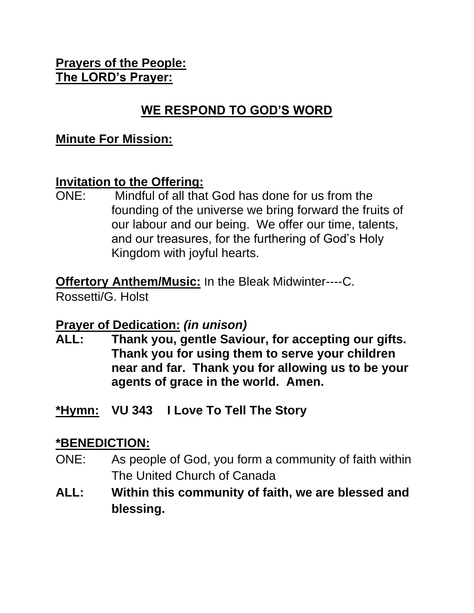#### **Prayers of the People: The LORD's Prayer:**

## **WE RESPOND TO GOD'S WORD**

#### **Minute For Mission:**

#### **Invitation to the Offering:**

ONE: Mindful of all that God has done for us from the founding of the universe we bring forward the fruits of our labour and our being. We offer our time, talents, and our treasures, for the furthering of God's Holy Kingdom with joyful hearts.

**Offertory Anthem/Music: In the Bleak Midwinter----C.** 

Rossetti/G. Holst

### **Prayer of Dedication:** *(in unison)*

- **ALL: Thank you, gentle Saviour, for accepting our gifts. Thank you for using them to serve your children near and far. Thank you for allowing us to be your agents of grace in the world. Amen.**
- **\*Hymn: VU 343 I Love To Tell The Story**

### **\*BENEDICTION:**

- ONE: As people of God, you form a community of faith within The United Church of Canada
- **ALL: Within this community of faith, we are blessed and blessing.**